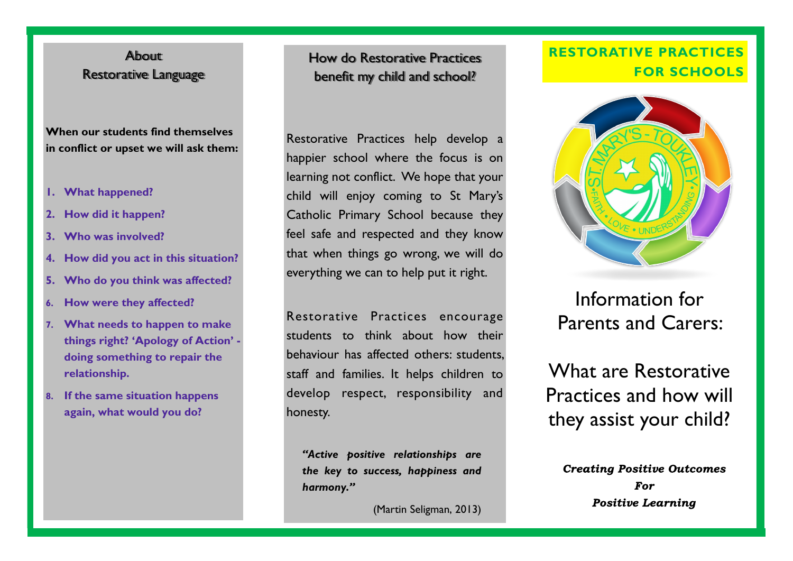# About Restorative Language

**When our students find themselves in conflict or upset we will ask them:**

- **1. What happened?**
- **2. How did it happen?**
- **3. Who was involved?**
- **4. How did you act in this situation?**
- **5. Who do you think was affected?**
- **6. How were they affected?**
- **7. What needs to happen to make things right? 'Apology of Action' doing something to repair the relationship.**
- **8. If the same situation happens again, what would you do?**

How do Restorative Practices benefit my child and school?

Restorative Practices help develop a happier school where the focus is on learning not conflict. We hope that your child will enjoy coming to St Mary's Catholic Primary School because they feel safe and respected and they know that when things go wrong, we will do everything we can to help put it right.

Restorative Practices encourage students to think about how their behaviour has affected others: students, staff and families. It helps children to develop respect, responsibility and honesty.

*"Active positive relationships are the key to success, happiness and harmony."* 

(Martin Seligman, 2013)

# **RESTORATIVE PRACTICES FOR SCHOOLS**



Information for Parents and Carers:

What are Restorative Practices and how will they assist your child?

**Creating Positive Outcomes**  $\Gamma$ **Positive Learning**